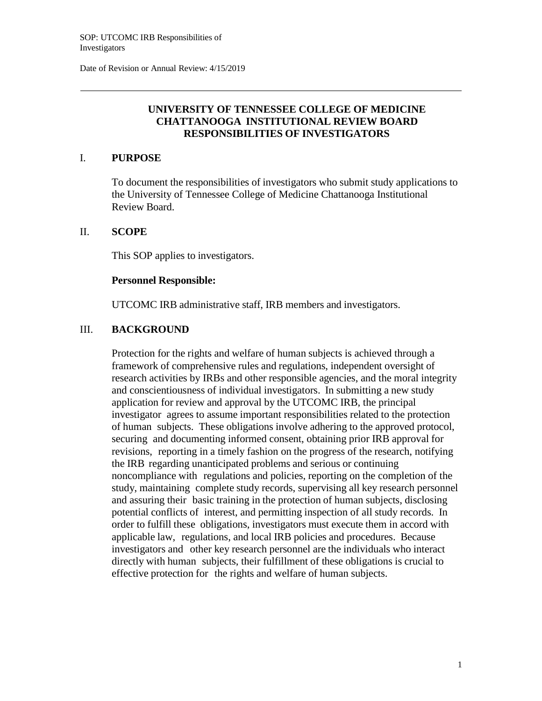Date of Revision or Annual Review: 4/15/2019

# **UNIVERSITY OF TENNESSEE COLLEGE OF MEDICINE CHATTANOOGA INSTITUTIONAL REVIEW BOARD RESPONSIBILITIES OF INVESTIGATORS**

## I. **PURPOSE**

To document the responsibilities of investigators who submit study applications to the University of Tennessee College of Medicine Chattanooga Institutional Review Board.

### II. **SCOPE**

This SOP applies to investigators.

#### **Personnel Responsible:**

UTCOMC IRB administrative staff, IRB members and investigators.

## III. **BACKGROUND**

Protection for the rights and welfare of human subjects is achieved through a framework of comprehensive rules and regulations, independent oversight of research activities by IRBs and other responsible agencies, and the moral integrity and conscientiousness of individual investigators. In submitting a new study application for review and approval by the UTCOMC IRB, the principal investigator agrees to assume important responsibilities related to the protection of human subjects. These obligations involve adhering to the approved protocol, securing and documenting informed consent, obtaining prior IRB approval for revisions, reporting in a timely fashion on the progress of the research, notifying the IRB regarding unanticipated problems and serious or continuing noncompliance with regulations and policies, reporting on the completion of the study, maintaining complete study records, supervising all key research personnel and assuring their basic training in the protection of human subjects, disclosing potential conflicts of interest, and permitting inspection of all study records. In order to fulfill these obligations, investigators must execute them in accord with applicable law, regulations, and local IRB policies and procedures. Because investigators and other key research personnel are the individuals who interact directly with human subjects, their fulfillment of these obligations is crucial to effective protection for the rights and welfare of human subjects.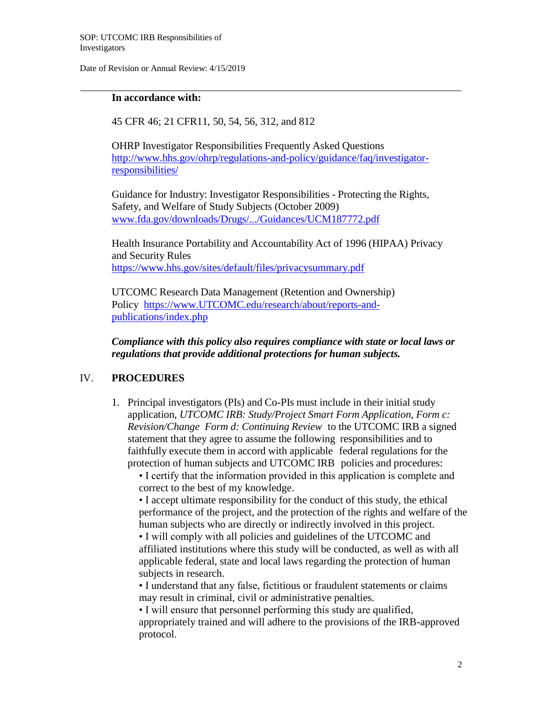Date of Revision or Annual Review: 4/15/2019

# **In accordance with:**

45 CFR 46; 21 CFR11, 50, 54, 56, 312, and 812

OHRP Investigator Responsibilities Frequently Asked Questions [http://www.hhs.gov/ohrp/regulations-and-policy/guidance/faq/investigator](http://www.hhs.gov/ohrp/regulations-and-policy/guidance/faq/investigator-)responsibilities/

Guidance for Industry: Investigator Responsibilities - Protecting the Rights, Safety, and Welfare of Study Subjects (October 2009) [www.fda.gov/downloads/Drugs/.../Guidances/UCM187772.pdf](http://www.fda.gov/downloads/Drugs/.../Guidances/UCM187772.pdf)

Health Insurance Portability and Accountability Act of 1996 (HIPAA) Privacy and Security Rules https:/[/www.hhs.gov/sites/default/files/privacysummary.pdf](http://www.hhs.gov/sites/default/files/privacysummary.pdf)

UTCOMC Research Data Management (Retention and Ownership) Policy https:/[/www.UTCOMC.edu/research/about/reports-and](http://www.uthsc.edu/research/about/reports-and-publications/index.php)[publications/index.php](http://www.uthsc.edu/research/about/reports-and-publications/index.php)

*Compliance with this policy also requires compliance with state or local laws or regulations that provide additional protections for human subjects.*

# IV. **PROCEDURES**

1. Principal investigators (PIs) and Co-PIs must include in their initial study application, *UTCOMC IRB: Study/Project Smart Form Application*, *Form c: Revision/Change Form d: Continuing Review* to the UTCOMC IRB a signed statement that they agree to assume the following responsibilities and to faithfully execute them in accord with applicable federal regulations for the protection of human subjects and UTCOMC IRB policies and procedures:

• I certify that the information provided in this application is complete and correct to the best of my knowledge.

• I accept ultimate responsibility for the conduct of this study, the ethical performance of the project, and the protection of the rights and welfare of the human subjects who are directly or indirectly involved in this project. • I will comply with all policies and guidelines of the UTCOMC and

affiliated institutions where this study will be conducted, as well as with all applicable federal, state and local laws regarding the protection of human subjects in research.

• I understand that any false, fictitious or fraudulent statements or claims may result in criminal, civil or administrative penalties.

• I will ensure that personnel performing this study are qualified, appropriately trained and will adhere to the provisions of the IRB-approved protocol.